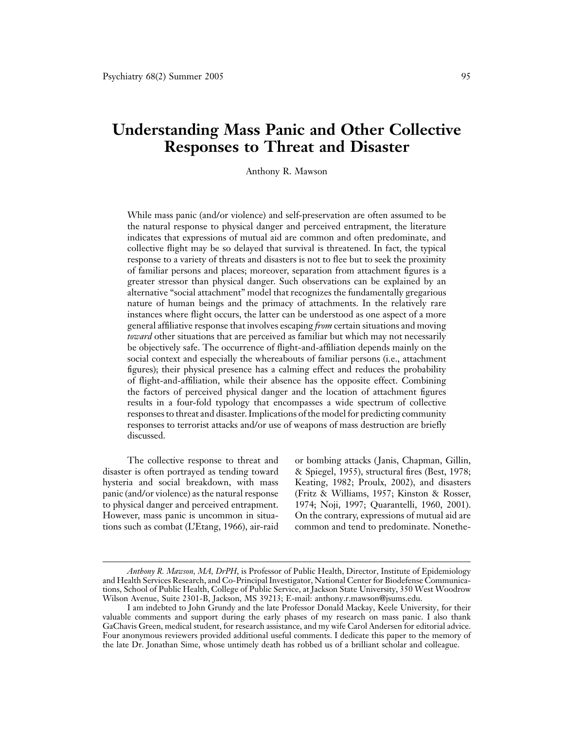# **Understanding Mass Panic and Other Collective Responses to Threat and Disaster**

Anthony R. Mawson

While mass panic (and/or violence) and self-preservation are often assumed to be the natural response to physical danger and perceived entrapment, the literature indicates that expressions of mutual aid are common and often predominate, and collective flight may be so delayed that survival is threatened. In fact, the typical response to a variety of threats and disasters is not to flee but to seek the proximity of familiar persons and places; moreover, separation from attachment figures is a greater stressor than physical danger. Such observations can be explained by an alternative "social attachment" model that recognizes the fundamentally gregarious nature of human beings and the primacy of attachments. In the relatively rare instances where flight occurs, the latter can be understood as one aspect of a more general affiliative response that involves escaping *from* certain situations and moving *toward* other situations that are perceived as familiar but which may not necessarily be objectively safe. The occurrence of flight-and-affiliation depends mainly on the social context and especially the whereabouts of familiar persons (i.e., attachment figures); their physical presence has a calming effect and reduces the probability of flight-and-affiliation, while their absence has the opposite effect. Combining the factors of perceived physical danger and the location of attachment figures results in a four-fold typology that encompasses a wide spectrum of collective responses to threat and disaster. Implications of the model for predicting community responses to terrorist attacks and/or use of weapons of mass destruction are briefly discussed.

disaster is often portrayed as tending toward & Spiegel, 1955), structural fires (Best, 1978; hysteria and social breakdown, with mass Keating, 1982; Proulx, 2002), and disasters panic (and/or violence) as the natural response (Fritz & Williams, 1957; Kinston & Rosser, to physical danger and perceived entrapment. 1974; Noji, 1997; Quarantelli, 1960, 2001). However, mass panic is uncommon in situa- On the contrary, expressions of mutual aid are

The collective response to threat and or bombing attacks (Janis, Chapman, Gillin, tions such as combat (L'Etang, 1966), air-raid common and tend to predominate. Nonethe-

*Anthony R. Mawson, MA, DrPH*, is Professor of Public Health, Director, Institute of Epidemiology and Health Services Research, and Co-Principal Investigator, National Center for Biodefense Communications, School of Public Health, College of Public Service, at Jackson State University, 350 West Woodrow Wilson Avenue, Suite 2301-B, Jackson, MS 39213; E-mail: anthony.r.mawson@jsums.edu.

I am indebted to John Grundy and the late Professor Donald Mackay, Keele University, for their valuable comments and support during the early phases of my research on mass panic. I also thank GaChavis Green, medical student, for research assistance, and my wife Carol Andersen for editorial advice. Four anonymous reviewers provided additional useful comments. I dedicate this paper to the memory of the late Dr. Jonathan Sime, whose untimely death has robbed us of a brilliant scholar and colleague.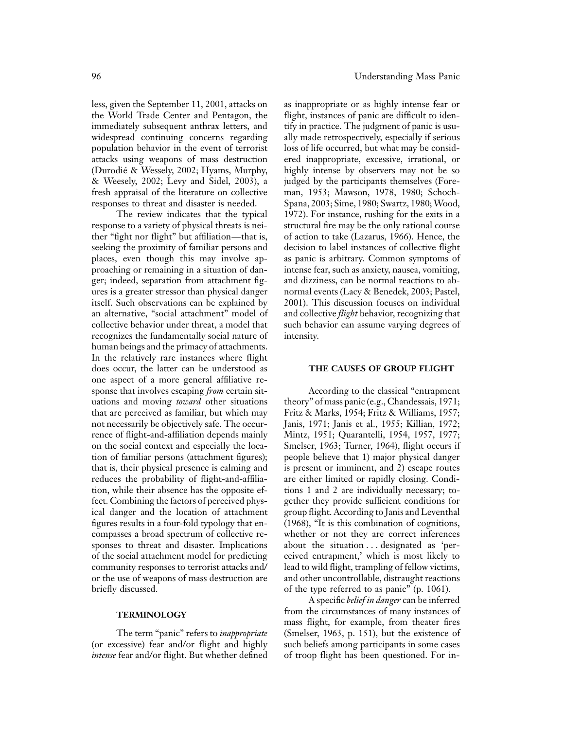the World Trade Center and Pentagon, the flight, instances of panic are difficult to idenimmediately subsequent anthrax letters, and tify in practice. The judgment of panic is usuwidespread continuing concerns regarding ally made retrospectively, especially if serious population behavior in the event of terrorist loss of life occurred, but what may be considattacks using weapons of mass destruction ered inappropriate, excessive, irrational, or (Durodie´ & Wessely, 2002; Hyams, Murphy, highly intense by observers may not be so & Weesely, 2002; Levy and Sidel, 2003), a judged by the participants themselves (Forefresh appraisal of the literature on collective man, 1953; Mawson, 1978, 1980; Schochresponses to threat and disaster is needed. Spana, 2003; Sime, 1980; Swartz, 1980; Wood,

response to a variety of physical threats is nei- structural fire may be the only rational course ther "fight nor flight" but affiliation—that is, of action to take (Lazarus, 1966). Hence, the seeking the proximity of familiar persons and decision to label instances of collective flight proaching or remaining in a situation of dan- intense fear, such as anxiety, nausea, vomiting, ger; indeed, separation from attachment fig- and dizziness, can be normal reactions to abures is a greater stressor than physical danger normal events (Lacy & Benedek, 2003; Pastel, itself. Such observations can be explained by 2001). This discussion focuses on individual an alternative, "social attachment" model of and collective *flight* behavior, recognizing that recognizes the fundamentally social nature of intensity. human beings and the primacy of attachments. In the relatively rare instances where flight does occur, the latter can be understood as **THE CAUSES OF GROUP FLIGHT** one aspect of a more general affiliative response that involves escaping *from* certain sit-<br>According to the classical "entrapment" uations and moving *toward* other situations theory" of mass panic (e.g., Chandessais, 1971; that are perceived as familiar, but which may Fritz & Marks, 1954; Fritz & Williams, 1957; not necessarily be objectively safe. The occur- Janis, 1971; Janis et al., 1955; Killian, 1972; rence of flight-and-affiliation depends mainly Mintz, 1951; Quarantelli, 1954, 1957, 1977; on the social context and especially the loca- Smelser, 1963; Turner, 1964), flight occurs if tion of familiar persons (attachment figures); people believe that 1) major physical danger that is, their physical presence is calming and is present or imminent, and 2) escape routes reduces the probability of flight-and-affilia- are either limited or rapidly closing. Condition, while their absence has the opposite ef- tions 1 and 2 are individually necessary; tofect. Combining the factors of perceived phys- gether they provide sufficient conditions for ical danger and the location of attachment group flight. According to Janis and Leventhal figures results in a four-fold typology that en- (1968), "It is this combination of cognitions, compasses a broad spectrum of collective re- whether or not they are correct inferences sponses to threat and disaster. Implications about the situation... designated as 'perof the social attachment model for predicting ceived entrapment,' which is most likely to community responses to terrorist attacks and/ lead to wild flight, trampling of fellow victims, or the use of weapons of mass destruction are and other uncontrollable, distraught reactions briefly discussed.  $\qquad \qquad$  of the type referred to as panic" (p. 1061).

(or excessive) fear and/or flight and highly such beliefs among participants in some cases *intense* fear and/or flight. But whether defined of troop flight has been questioned. For in-

less, given the September 11, 2001, attacks on as inappropriate or as highly intense fear or The review indicates that the typical 1972). For instance, rushing for the exits in a places, even though this may involve ap- as panic is arbitrary. Common symptoms of collective behavior under threat, a model that such behavior can assume varying degrees of

A specific *belief in danger* can be inferred **FERMINOLOGY** from the circumstances of many instances of mass flight, for example, from theater fires The term "panic" refers to *inappropriate* (Smelser, 1963, p. 151), but the existence of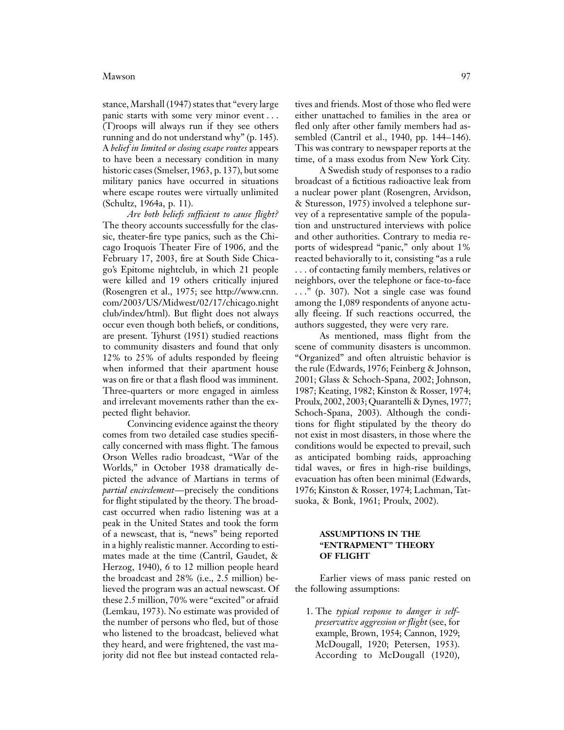panic starts with some very minor event... either unattached to families in the area or (T)roops will always run if they see others fled only after other family members had asrunning and do not understand why" (p. 145). sembled (Cantril et al., 1940, pp. 144–146). A *belief in limited or closing escape routes* appears This was contrary to newspaper reports at the to have been a necessary condition in many time, of a mass exodus from New York City. historic cases (Smelser, 1963, p. 137), but some A Swedish study of responses to a radio military panics have occurred in situations broadcast of a fictitious radioactive leak from where escape routes were virtually unlimited a nuclear power plant (Rosengren, Arvidson, (Schultz, 1964a, p. 11). & Sturesson, 1975) involved a telephone sur-

The theory accounts successfully for the clas- tion and unstructured interviews with police sic, theater-fire type panics, such as the Chi- and other authorities. Contrary to media recago Iroquois Theater Fire of 1906, and the ports of widespread "panic," only about 1% February 17, 2003, fire at South Side Chica- reacted behaviorally to it, consisting "as a rule go's Epitome nightclub, in which 21 people . . . of contacting family members, relatives or were killed and 19 others critically injured neighbors, over the telephone or face-to-face (Rosengren et al., 1975; see http://www.cnn. . . ." (p. 307). Not a single case was found com/2003/US/Midwest/02/17/chicago.night among the 1,089 respondents of anyone actuclub/index/html). But flight does not always ally fleeing. If such reactions occurred, the occur even though both beliefs, or conditions, authors suggested, they were very rare. are present. Tyhurst (1951) studied reactions As mentioned, mass flight from the to community disasters and found that only scene of community disasters is uncommon. 12% to 25% of adults responded by fleeing "Organized" and often altruistic behavior is when informed that their apartment house the rule (Edwards, 1976; Feinberg & Johnson, was on fire or that a flash flood was imminent. 2001; Glass & Schoch-Spana, 2002; Johnson, Three-quarters or more engaged in aimless 1987; Keating, 1982; Kinston & Rosser, 1974; and irrelevant movements rather than the ex- Proulx, 2002, 2003; Quarantelli & Dynes, 1977; pected flight behavior. Schoch-Spana, 2003). Although the condi-

comes from two detailed case studies specifi- not exist in most disasters, in those where the cally concerned with mass flight. The famous conditions would be expected to prevail, such Orson Welles radio broadcast, "War of the as anticipated bombing raids, approaching Worlds," in October 1938 dramatically de- tidal waves, or fires in high-rise buildings, picted the advance of Martians in terms of evacuation has often been minimal (Edwards, *partial encirclement*—precisely the conditions 1976; Kinston & Rosser, 1974; Lachman, Tatfor flight stipulated by the theory. The broad- suoka, & Bonk, 1961; Proulx, 2002). cast occurred when radio listening was at a peak in the United States and took the form of a newscast, that is, "news" being reported **ASSUMPTIONS IN THE** in a highly realistic manner. According to esti- **"ENTRAPMENT" THEORY** mates made at the time (Cantril, Gaudet, & **OF FLIGHT** Herzog, 1940), 6 to 12 million people heard the broadcast and 28% (i.e., 2.5 million) be- Earlier views of mass panic rested on lieved the program was an actual newscast. Of  $\qquad$  the following assumptions: these 2.5 million, 70% were "excited" or afraid (Lemkau, 1973). No estimate was provided of 1. The *typical response to danger is self*the number of persons who fled, but of those *preservative aggression or flight* (see, for who listened to the broadcast, believed what example, Brown, 1954; Cannon, 1929; they heard, and were frightened, the vast ma- McDougall, 1920; Petersen, 1953). jority did not flee but instead contacted rela- According to McDougall (1920),

stance, Marshall (1947) states that "every large tives and friends. Most of those who fled were

*Are both beliefs sufficient to cause flight?* vey of a representative sample of the popula-

Convincing evidence against the theory tions for flight stipulated by the theory do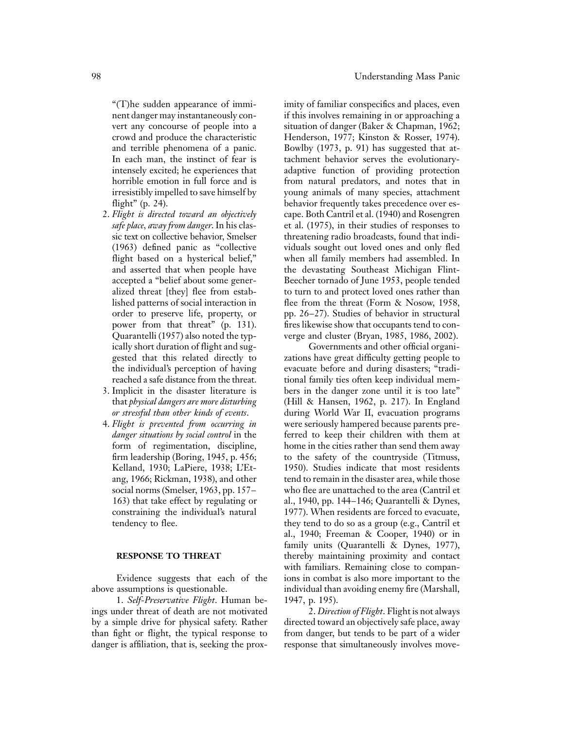"(T)he sudden appearance of immi- imity of familiar conspecifics and places, even

- 
- 
- 

1. *Self-Preservative Flight*. Human be- 1947, p. 195). ings under threat of death are not motivated 2. *Direction of Flight*. Flight is not always danger is affiliation, that is, seeking the prox-<br>response that simultaneously involves move-

nent danger may instantaneously con- if this involves remaining in or approaching a vert any concourse of people into a situation of danger (Baker & Chapman, 1962; crowd and produce the characteristic Henderson, 1977; Kinston & Rosser, 1974). and terrible phenomena of a panic. Bowlby (1973, p. 91) has suggested that at-In each man, the instinct of fear is tachment behavior serves the evolutionaryintensely excited; he experiences that adaptive function of providing protection horrible emotion in full force and is from natural predators, and notes that in irresistibly impelled to save himself by young animals of many species, attachment flight" (p. 24). behavior frequently takes precedence over es-2. *Flight is directed toward an objectively* cape. Both Cantril et al. (1940) and Rosengren *safe place, away from danger*. In his clas- et al. (1975), in their studies of responses to sic text on collective behavior, Smelser threatening radio broadcasts, found that indi-(1963) defined panic as "collective viduals sought out loved ones and only fled flight based on a hysterical belief," when all family members had assembled. In and asserted that when people have the devastating Southeast Michigan Flintaccepted a "belief about some gener- Beecher tornado of June 1953, people tended alized threat [they] flee from estab- to turn to and protect loved ones rather than lished patterns of social interaction in flee from the threat (Form & Nosow, 1958, order to preserve life, property, or pp. 26–27). Studies of behavior in structural power from that threat" (p. 131). fires likewise show that occupants tend to con-Quarantelli (1957) also noted the typ- verge and cluster (Bryan, 1985, 1986, 2002).

ically short duration of flight and sug- Governments and other official organigested that this related directly to zations have great difficulty getting people to the individual's perception of having evacuate before and during disasters; "tradireached a safe distance from the threat. tional family ties often keep individual mem-3. Implicit in the disaster literature is bers in the danger zone until it is too late" that *physical dangers are more disturbing* (Hill & Hansen, 1962, p. 217). In England *or stressful than other kinds of events*. during World War II, evacuation programs 4. *Flight is prevented from occurring in* were seriously hampered because parents pre*danger situations by social control* in the ferred to keep their children with them at form of regimentation, discipline, home in the cities rather than send them away firm leadership (Boring, 1945, p. 456; to the safety of the countryside (Titmuss, Kelland, 1930; LaPiere, 1938; L'Et- 1950). Studies indicate that most residents ang, 1966; Rickman, 1938), and other tend to remain in the disaster area, while those social norms (Smelser, 1963, pp. 157– who flee are unattached to the area (Cantril et 163) that take effect by regulating or al., 1940, pp. 144–146; Quarantelli & Dynes, constraining the individual's natural 1977). When residents are forced to evacuate, tendency to flee. they tend to do so as a group (e.g., Cantril et al., 1940; Freeman & Cooper, 1940) or in family units (Quarantelli & Dynes, 1977), **RESPONSE TO THREAT** thereby maintaining proximity and contact with familiars. Remaining close to compan-Evidence suggests that each of the ions in combat is also more important to the above assumptions is questionable. individual than avoiding enemy fire (Marshall,

by a simple drive for physical safety. Rather directed toward an objectively safe place, away than fight or flight, the typical response to from danger, but tends to be part of a wider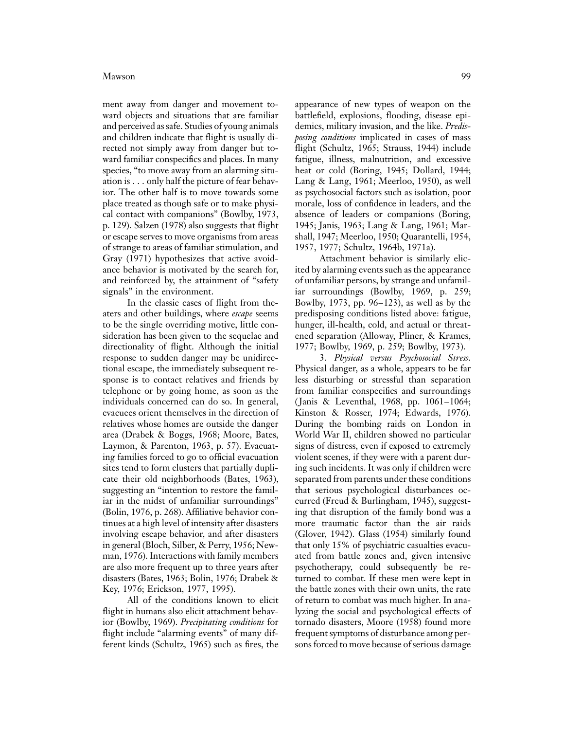ment away from danger and movement to- appearance of new types of weapon on the ward objects and situations that are familiar battlefield, explosions, flooding, disease epiand perceived as safe. Studies of young animals demics, military invasion, and the like. *Predis*and children indicate that flight is usually di- *posing conditions* implicated in cases of mass rected not simply away from danger but to- flight (Schultz, 1965; Strauss, 1944) include ward familiar conspecifics and places. In many fatigue, illness, malnutrition, and excessive species, "to move away from an alarming situ- heat or cold (Boring, 1945; Dollard, 1944; ation is... only half the picture of fear behav- Lang & Lang, 1961; Meerloo, 1950), as well ior. The other half is to move towards some as psychosocial factors such as isolation, poor place treated as though safe or to make physi- morale, loss of confidence in leaders, and the cal contact with companions" (Bowlby, 1973, absence of leaders or companions (Boring, p. 129). Salzen (1978) also suggests that flight 1945; Janis, 1963; Lang & Lang, 1961; Maror escape serves to move organisms from areas shall, 1947; Meerloo, 1950; Quarantelli, 1954, of strange to areas of familiar stimulation, and 1957, 1977; Schultz, 1964b, 1971a). Gray (1971) hypothesizes that active avoid-<br>
Attachment behavior is similarly elicance behavior is motivated by the search for, ited by alarming events such as the appearance and reinforced by, the attainment of "safety of unfamiliar persons, by strange and unfamil-

aters and other buildings, where *escape* seems predisposing conditions listed above: fatigue, to be the single overriding motive, little con- hunger, ill-health, cold, and actual or threatsideration has been given to the sequelae and ened separation (Alloway, Pliner, & Krames, directionality of flight. Although the initial 1977; Bowlby, 1969, p. 259; Bowlby, 1973). response to sudden danger may be unidirec- 3. *Physical versus Psychosocial Stress*. tional escape, the immediately subsequent re- Physical danger, as a whole, appears to be far sponse is to contact relatives and friends by less disturbing or stressful than separation telephone or by going home, as soon as the from familiar conspecifics and surroundings individuals concerned can do so. In general, ( Janis & Leventhal, 1968, pp. 1061–1064; evacuees orient themselves in the direction of Kinston & Rosser, 1974; Edwards, 1976). relatives whose homes are outside the danger During the bombing raids on London in area (Drabek & Boggs, 1968; Moore, Bates, World War II, children showed no particular Laymon, & Parenton, 1963, p. 57). Evacuat-<br>signs of distress, even if exposed to extremely ing families forced to go to official evacuation violent scenes, if they were with a parent dursites tend to form clusters that partially dupli- ing such incidents. It was only if children were cate their old neighborhoods (Bates, 1963), separated from parents under these conditions suggesting an "intention to restore the famil- that serious psychological disturbances ociar in the midst of unfamiliar surroundings" curred (Freud & Burlingham, 1945), suggest-(Bolin, 1976, p. 268). Affiliative behavior con- ing that disruption of the family bond was a tinues at a high level of intensity after disasters more traumatic factor than the air raids involving escape behavior, and after disasters (Glover, 1942). Glass (1954) similarly found in general (Bloch, Silber, & Perry, 1956; New- that only 15% of psychiatric casualties evacuman, 1976). Interactions with family members ated from battle zones and, given intensive are also more frequent up to three years after psychotherapy, could subsequently be redisasters (Bates, 1963; Bolin, 1976; Drabek & turned to combat. If these men were kept in Key, 1976; Erickson, 1977, 1995). the battle zones with their own units, the rate

ior (Bowlby, 1969). *Precipitating conditions* for tornado disasters, Moore (1958) found more flight include "alarming events" of many dif- frequent symptoms of disturbance among perferent kinds (Schultz, 1965) such as fires, the sons forced to move because of serious damage

signals" in the environment. iar surroundings (Bowlby, 1969, p. 259; In the classic cases of flight from the- Bowlby, 1973, pp. 96–123), as well as by the

All of the conditions known to elicit of return to combat was much higher. In anaflight in humans also elicit attachment behav- lyzing the social and psychological effects of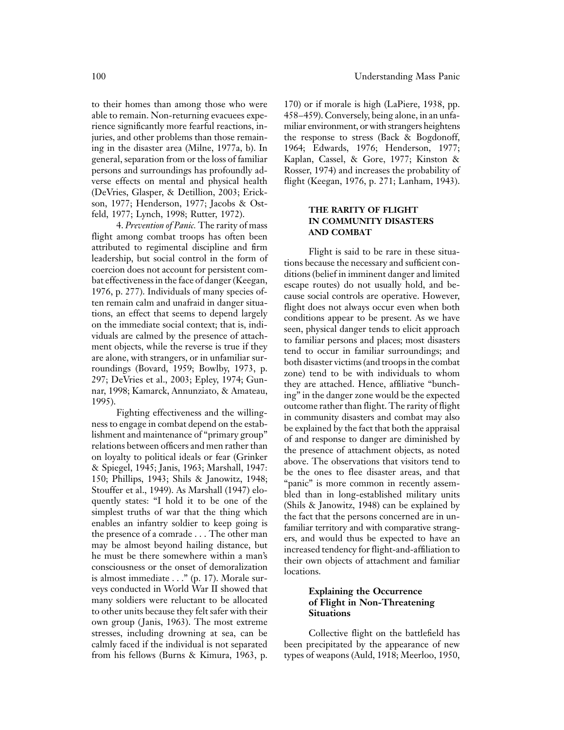to their homes than among those who were 170) or if morale is high (LaPiere, 1938, pp. able to remain. Non-returning evacuees expe- 458–459). Conversely, being alone, in an unfarience significantly more fearful reactions, in- miliar environment, or with strangers heightens juries, and other problems than those remain-<br>the response to stress (Back & Bogdonoff, ing in the disaster area (Milne, 1977a, b). In 1964; Edwards, 1976; Henderson, 1977; general, separation from or the loss of familiar Kaplan, Cassel, & Gore, 1977; Kinston & persons and surroundings has profoundly ad- Rosser, 1974) and increases the probability of verse effects on mental and physical health flight (Keegan, 1976, p. 271; Lanham, 1943). (DeVries, Glasper, & Detillion, 2003; Erickson, 1977; Henderson, 1977; Jacobs & Ost-<br>feld, 1977; Lynch, 1998; Rutter, 1972).<br>4. Prevention of Panic. The rarity of mass<br>flight among combat troops has often been<br>AND COMBAT

veys conducted in World War II showed that **Explaining the Occurrence** many soldiers were reluctant to be allocated **of Flight in Non-Threatening** to other units because they felt safer with their **Situations** own group (Janis, 1963). The most extreme stresses, including drowning at sea, can be Collective flight on the battlefield has calmly faced if the individual is not separated been precipitated by the appearance of new

attributed to regimental discipline and fim<br>
leadership, but social control in the form of<br>
leadership, but social control in the form of<br>
the backgrain, discingent and sufficient con-<br>
dictions (belief in imminent danger

from his fellows (Burns & Kimura, 1963, p. types of weapons (Auld, 1918; Meerloo, 1950,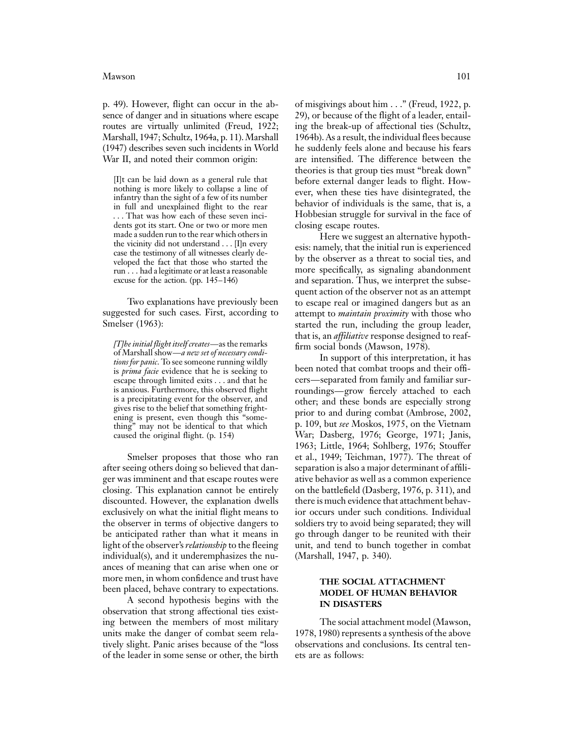sence of danger and in situations where escape 29), or because of the flight of a leader, entailroutes are virtually unlimited (Freud, 1922; ing the break-up of affectional ties (Schultz, Marshall, 1947; Schultz, 1964a, p. 11). Marshall 1964b). As a result, the individual flees because (1947) describes seven such incidents in World he suddenly feels alone and because his fears War II, and noted their common origin: are intensified. The difference between the

dents got its start. One or two or more men closing escape routes.<br>made a sudden run to the rear which others in

[*T]be initial flight itself creates*—as the remarks<br>of Marshall show—*a new set of necessary condi*-<br>tions for panic. To see someone running wildly<br>is prima facie evidence that he is seeking to<br>een noted that combat troop

after seeing others doing so believed that dan- separation is also a major determinant of affiliger was imminent and that escape routes were ative behavior as well as a common experience closing. This explanation cannot be entirely on the battlefield (Dasberg, 1976, p. 311), and discounted. However, the explanation dwells there is much evidence that attachment behavexclusively on what the initial flight means to ior occurs under such conditions. Individual the observer in terms of objective dangers to soldiers try to avoid being separated; they will be anticipated rather than what it means in go through danger to be reunited with their light of the observer's *relationship* to the fleeing unit, and tend to bunch together in combat individual(s), and it underemphasizes the nu- (Marshall, 1947, p. 340). ances of meaning that can arise when one or more men, in whom confidence and trust have **THE SOCIAL ATTACHMENT** 

A second hypothesis begins with the **IN DISASTERS** observation that strong affectional ties existing between the members of most military The social attachment model (Mawson, units make the danger of combat seem rela- 1978, 1980) represents a synthesis of the above tively slight. Panic arises because of the "loss observations and conclusions. Its central tenof the leader in some sense or other, the birth ets are as follows:

p. 49). However, flight can occur in the ab- of misgivings about him . . ." (Freud, 1922, p. theories is that group ties must "break down" [I]t can be laid down as a general rule that before external danger leads to flight. Hownothing is more likely to collapse a line of ever, when these ties have disintegrated, the infantry than the sight of a few of its num ... That was how each of these seven inci-<br>Hobbesian struggle for survival in the face of

made a sudden run to the rear which others in<br>the vicinity did not understand . . . [I]n every<br>case the testimony of all witnesses clearly de-<br>veloped the fact that those who started the by the observer as a threat to soci run . . . had a legitimate or at least a reasonable more specifically, as signaling abandonment excuse for the action. (pp. 145–146) and separation. Thus, we interpret the subsequent action of the observer not as an attempt Two explanations have previously been to escape real or imagined dangers but as an suggested for such cases. First, according to attempt to *maintain proximity* with those who Smelser (1963): started the run, including the group leader,

escape through limited exits . . . and that he cers—separated from family and familiar sur-<br>is anxious. Furthermore, this observed flight roundings—grow fiercely attached to each is anxious. Furthermore, this observed flight<br>is a precipitating event for the observer, and<br>gives rise to the belief that something fright-<br>ening is present, even though this "some-<br>thing" may not be identical to that whi thing" may not be identical to that which p. 109, but *see* Moskos, 1975, on the Vietnam caused the original flight. (p. 154) War; Dasberg, 1976; George, 1971; Janis, War; Dasberg, 1976; George, 1971; Janis, 1963; Little, 1964; Sohlberg, 1976; Stouffer Smelser proposes that those who ran et al., 1949; Teichman, 1977). The threat of

# been placed, behave contrary to expectations. **MODEL OF HUMAN BEHAVIOR**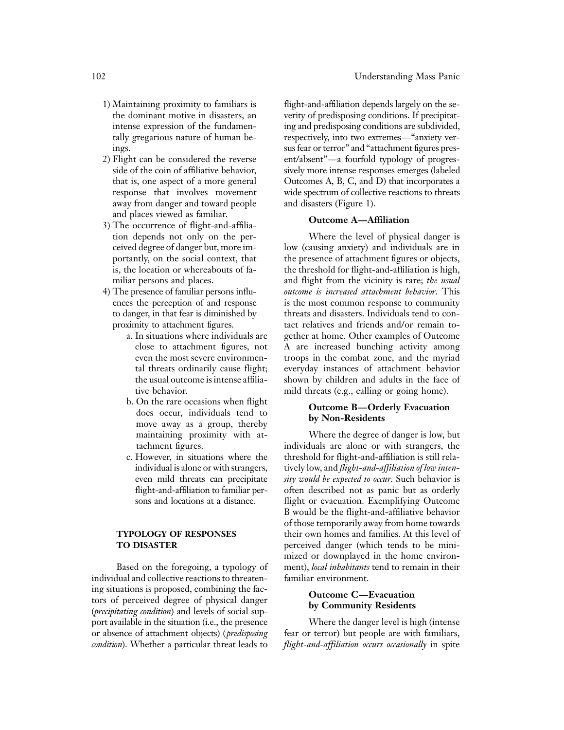- 
- away from danger and toward people and disasters (Figure 1).<br>and places viewed as familiar.
- and places viewed as familiar. **Outcome A—Affiliation** 3) The occurrence of flight-and-affilia-
- -
	- b. On the rare occasions when flight **Outcome B—Orderly Evacuation** does occur, individuals tend to **by Non-Residents** move away as a group, thereby
	-

individual and collective reactions to threaten- familiar environment. ing situations is proposed, combining the fac-<br>
tors of perceived degree of physical danger<br>
(*precipitating condition*) and levels of social sup-<br> **by Community Residents** port available in the situation (i.e., the presence Where the danger level is high (intense

1) Maintaining proximity to familiars is flight-and-affiliation depends largely on the sethe dominant motive in disasters, an verity of predisposing conditions. If precipitatintense expression of the fundamen- ing and predisposing conditions are subdivided, tally gregarious nature of human be- respectively, into two extremes—"anxiety verings. sus fear or terror" and "attachment figures pres-2) Flight can be considered the reverse ent/absent"—a fourfold typology of progresside of the coin of affiliative behavior, sively more intense responses emerges (labeled that is, one aspect of a more general Outcomes A, B, C, and D) that incorporates a response that involves movement wide spectrum of collective reactions to threats

tion depends not only on the per- Where the level of physical danger is ceived degree of danger but, more im- low (causing anxiety) and individuals are in portantly, on the social context, that the presence of attachment figures or objects, is, the location or whereabouts of fa- the threshold for flight-and-affiliation is high, miliar persons and places. **and flight from the vicinity is rare**; *the usual* 4) The presence of familiar persons influ- *outcome is increased attachment behavior*. This ences the perception of and response is the most common response to community to danger, in that fear is diminished by threats and disasters. Individuals tend to conproximity to attachment figures. tact relatives and friends and/or remain toa. In situations where individuals are gether at home. Other examples of Outcome close to attachment figures, not A are increased bunching activity among even the most severe environmen- troops in the combat zone, and the myriad tal threats ordinarily cause flight; everyday instances of attachment behavior the usual outcome is intense affilia- shown by children and adults in the face of tive behavior. mild threats (e.g., calling or going home).

maintaining proximity with at- Where the degree of danger is low, but tachment figures. individuals are alone or with strangers, the c. However, in situations where the threshold for flight-and-affiliation is still relaindividual is alone or with strangers, tively low, and *flight-and-affiliation of low inten*even mild threats can precipitate *sity would be expected to occur*. Such behavior is flight-and-affiliation to familiar per- often described not as panic but as orderly sons and locations at a distance. Flight or evacuation. Exemplifying Outcome B would be the flight-and-affiliative behavior of those temporarily away from home towards **TYPOLOGY OF RESPONSES** their own homes and families. At this level of **TO DISASTER perceived danger (which tends to be mini**mized or downplayed in the home environ-Based on the foregoing, a typology of ment), *local inhabitants* tend to remain in their

or absence of attachment objects) (*predisposing* fear or terror) but people are with familiars, *condition*). Whether a particular threat leads to *flight-and-affiliation occurs occasionally* in spite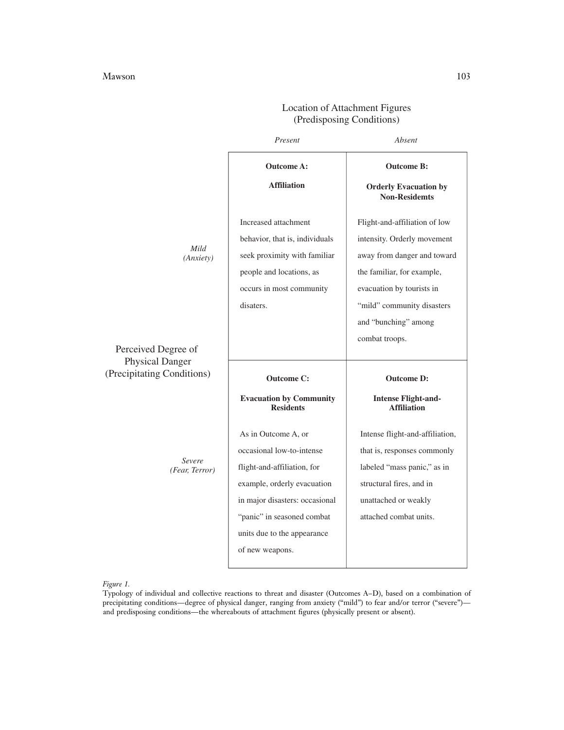## Mawson and the contract of the contract of the contract of the contract of the contract of the contract of the contract of the contract of the contract of the contract of the contract of the contract of the contract of the

|                                               | Present                                            | Absent                                               |
|-----------------------------------------------|----------------------------------------------------|------------------------------------------------------|
|                                               | <b>Outcome A:</b>                                  | <b>Outcome B:</b>                                    |
| Mild<br>(Anxity)                              | <b>Affiliation</b>                                 | <b>Orderly Evacuation by</b><br><b>Non-Residemts</b> |
|                                               | Increased attachment                               | Flight-and-affiliation of low                        |
|                                               | behavior, that is, individuals                     | intensity. Orderly movement                          |
|                                               | seek proximity with familiar                       | away from danger and toward                          |
|                                               | people and locations, as                           | the familiar, for example,                           |
|                                               | occurs in most community                           | evacuation by tourists in                            |
|                                               | disaters.                                          | "mild" community disasters                           |
|                                               |                                                    | and "bunching" among                                 |
|                                               |                                                    | combat troops.                                       |
| Perceived Degree of<br><b>Physical Danger</b> |                                                    |                                                      |
| (Precipitating Conditions)                    | <b>Outcome C:</b>                                  | <b>Outcome D:</b>                                    |
|                                               | <b>Evacuation by Community</b><br><b>Residents</b> | <b>Intense Flight-and-</b><br><b>Affiliation</b>     |
| Severe<br>(Fear, Terror)                      | As in Outcome A, or                                | Intense flight-and-affiliation,                      |
|                                               | occasional low-to-intense                          | that is, responses commonly                          |
|                                               | flight-and-affiliation, for                        | labeled "mass panic," as in                          |
|                                               | example, orderly evacuation                        | structural fires, and in                             |
|                                               | in major disasters: occasional                     | unattached or weakly                                 |
|                                               | "panic" in seasoned combat                         | attached combat units.                               |
|                                               | units due to the appearance                        |                                                      |
|                                               | of new weapons.                                    |                                                      |
|                                               |                                                    |                                                      |

## Location of Attachment Figures (Predisposing Conditions)

*Figure 1.*

Typology of individual and collective reactions to threat and disaster (Outcomes A–D), based on a combination of precipitating conditions—degree of physical danger, ranging from anxiety ("mild") to fear and/or terror ("severe") and predisposing conditions—the whereabouts of attachment figures (physically present or absent).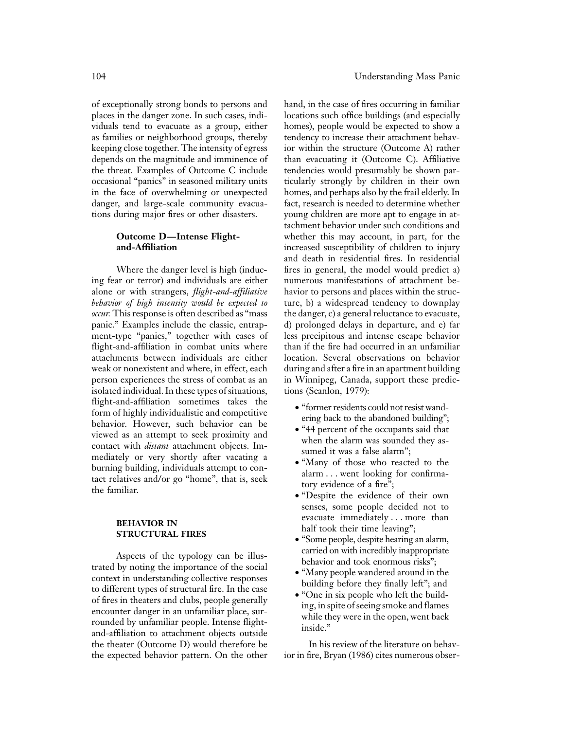places in the danger zone. In such cases, indi- locations such office buildings (and especially viduals tend to evacuate as a group, either homes), people would be expected to show a as families or neighborhood groups, thereby tendency to increase their attachment behavkeeping close together. The intensity of egress ior within the structure (Outcome A) rather depends on the magnitude and imminence of than evacuating it (Outcome C). Affiliative the threat. Examples of Outcome C include tendencies would presumably be shown paroccasional "panics" in seasoned military units ticularly strongly by children in their own in the face of overwhelming or unexpected homes, and perhaps also by the frail elderly. In danger, and large-scale community evacua- fact, research is needed to determine whether tions during major fires or other disasters. young children are more apt to engage in at-

ing fear or terror) and individuals are either numerous manifestations of attachment bealone or with strangers, *flight-and-affiliative* havior to persons and places within the struc*behavior of high intensity would be expected to* ture, b) a widespread tendency to downplay *occur*. This response is often described as "mass the danger, c) a general reluctance to evacuate, panic." Examples include the classic, entrap- d) prolonged delays in departure, and e) far panic." Examples include the classic, entrapment-type "panics," together with cases of less precipitous and intense escape behavior flight-and-affiliation in combat units where than if the fire had occurred in an unfamiliar attachments between individuals are either location. Several observations on behavior weak or nonexistent and where, in effect, each during and after a fire in an apartment building person experiences the stress of combat as an in Winnipeg, Canada, support these predicisolated individual. In these types of situations, tions (Scanlon, 1979): dight-and-affiliation sometimes takes the<br>form of highly individualistic and competitive<br>behavior. However, such behavior can be<br>viewed as an attempt to seek proximity and<br>contact with *distant* attachment objects. Im-<br>med

Aspects of the typology can be illus-<br>trated by noting the importance of the social<br>context in understanding collective responses<br>to different types of structural fire. In the case<br>of fires in theaters and clubs, people ge the theater (Outcome D) would therefore be In his review of the literature on behavthe expected behavior pattern. On the other ior in fire, Bryan (1986) cites numerous obser-

of exceptionally strong bonds to persons and hand, in the case of fires occurring in familiar tachment behavior under such conditions and **Outcome D—Intense Flight-** whether this may account, in part, for the **and-Affiliation** increased susceptibility of children to injury and death in residential fires. In residential Where the danger level is high (induc-<br>fires in general, the model would predict a)

- 
- 
- 
- senses, some people decided not to **EXECTURAL FIRES** evacuate immediately... more than half took their time leaving";<br> **STRUCTURAL FIRES** • "Some people, despite hearing an alarm,
	-
	-
	-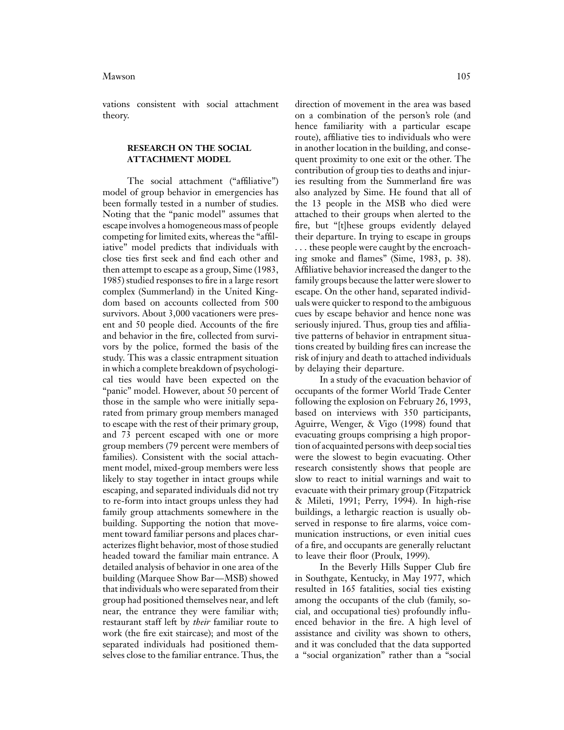vations consistent with social attachment direction of movement in the area was based theory. on a combination of the person's role (and

model of group behavior in emergencies has also analyzed by Sime. He found that all of been formally tested in a number of studies. the 13 people in the MSB who died were Noting that the "panic model" assumes that attached to their groups when alerted to the escape involves a homogeneous mass of people fire, but "[t]hese groups evidently delayed competing for limited exits, whereas the "affil- their departure. In trying to escape in groups iative" model predicts that individuals with ... these people were caught by the encroachclose ties first seek and find each other and ing smoke and flames" (Sime, 1983, p. 38). then attempt to escape as a group, Sime (1983, Affiliative behavior increased the danger to the 1985) studied responses to fire in a large resort family groups because the latter were slower to complex (Summerland) in the United King- escape. On the other hand, separated individdom based on accounts collected from 500 uals were quicker to respond to the ambiguous survivors. About 3,000 vacationers were pres- cues by escape behavior and hence none was ent and 50 people died. Accounts of the fire seriously injured. Thus, group ties and affiliaand behavior in the fire, collected from survi- tive patterns of behavior in entrapment situavors by the police, formed the basis of the tions created by building fires can increase the study. This was a classic entrapment situation risk of injury and death to attached individuals in which a complete breakdown of psychologi- by delaying their departure. cal ties would have been expected on the In a study of the evacuation behavior of "panic" model. However, about 50 percent of occupants of the former World Trade Center those in the sample who were initially sepa- following the explosion on February 26, 1993, rated from primary group members managed based on interviews with 350 participants, and 73 percent escaped with one or more evacuating groups comprising a high proporgroup members (79 percent were members of tion of acquainted persons with deep social ties families). Consistent with the social attach- were the slowest to begin evacuating. Other ment model, mixed-group members were less research consistently shows that people are likely to stay together in intact groups while slow to react to initial warnings and wait to to re-form into intact groups unless they had & Mileti, 1991; Perry, 1994). In high-rise family group attachments somewhere in the buildings, a lethargic reaction is usually obbuilding. Supporting the notion that move- served in response to fire alarms, voice comment toward familiar persons and places char- munication instructions, or even initial cues acterizes flight behavior, most of those studied of a fire, and occupants are generally reluctant headed toward the familiar main entrance. A to leave their floor (Proulx, 1999). detailed analysis of behavior in one area of the In the Beverly Hills Supper Club fire building (Marquee Show Bar—MSB) showed in Southgate, Kentucky, in May 1977, which that individuals who were separated from their resulted in 165 fatalities, social ties existing group had positioned themselves near, and left among the occupants of the club (family, sonear, the entrance they were familiar with; cial, and occupational ties) profoundly influrestaurant staff left by *their* familiar route to enced behavior in the fire. A high level of work (the fire exit staircase); and most of the assistance and civility was shown to others, separated individuals had positioned them- and it was concluded that the data supported

hence familiarity with a particular escape route), affiliative ties to individuals who were **RESEARCH ON THE SOCIAL** in another location in the building, and conse-**ATTACHMENT MODEL** quent proximity to one exit or the other. The contribution of group ties to deaths and injur-The social attachment ("affiliative") ies resulting from the Summerland fire was

to escape with the rest of their primary group, Aguirre, Wenger, & Vigo (1998) found that escaping, and separated individuals did not try evacuate with their primary group (Fitzpatrick

selves close to the familiar entrance. Thus, the a "social organization" rather than a "social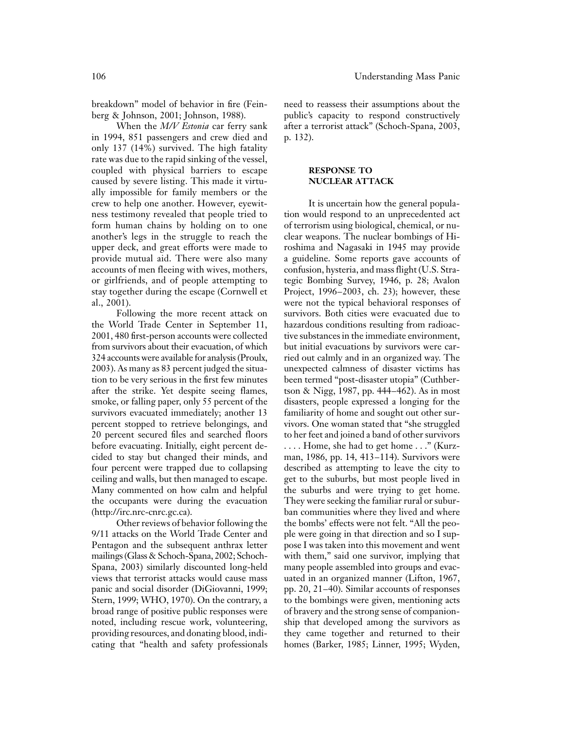in 1994, 851 passengers and crew died and p. 132). only 137 (14%) survived. The high fatality rate was due to the rapid sinking of the vessel, coupled with physical barriers to escape **RESPONSE TO** caused by severe listing. This made it virtu- **NUCLEAR ATTACK** ally impossible for family members or the crew to help one another. However, eyewit- It is uncertain how the general populaness testimony revealed that people tried to tion would respond to an unprecedented act form human chains by holding on to one of terrorism using biological, chemical, or nuanother's legs in the struggle to reach the clear weapons. The nuclear bombings of Hiupper deck, and great efforts were made to roshima and Nagasaki in 1945 may provide provide mutual aid. There were also many a guideline. Some reports gave accounts of accounts of men fleeing with wives, mothers, confusion, hysteria, and mass flight (U.S. Straor girlfriends, and of people attempting to tegic Bombing Survey, 1946, p. 28; Avalon stay together during the escape (Cornwell et Project, 1996–2003, ch. 23); however, these al., 2001). were not the typical behavioral responses of

the World Trade Center in September 11, hazardous conditions resulting from radioac-<br>2001, 480 first-person accounts were collected ive substances in the immediate environment, 2001, 480 first-person accounts were collected from survivors about their evacuation, of which but initial evacuations by survivors were car-324 accounts were available for analysis (Proulx, ried out calmly and in an organized way. The 2003). As many as 83 percent judged the situa- unexpected calmness of disaster victims has tion to be very serious in the first few minutes been termed "post-disaster utopia" (Cuthberafter the strike. Yet despite seeing flames, tson & Nigg, 1987, pp. 444–462). As in most smoke, or falling paper, only 55 percent of the disasters, people expressed a longing for the survivors evacuated immediately; another 13 familiarity of home and sought out other surpercent stopped to retrieve belongings, and vivors. One woman stated that "she struggled 20 percent secured files and searched floors to her feet and joined a band of other survivors before evacuating. Initially, eight percent de- .... Home, she had to get home ..." (Kurzcided to stay but changed their minds, and man, 1986, pp. 14, 413–114). Survivors were four percent were trapped due to collapsing described as attempting to leave the city to ceiling and walls, but then managed to escape. get to the suburbs, but most people lived in Many commented on how calm and helpful the suburbs and were trying to get home. the occupants were during the evacuation They were seeking the familiar rural or subur- (http://irc.nrc-cnrc.gc.ca). ban communities where they lived and where

9/11 attacks on the World Trade Center and ple were going in that direction and so I sup-Spana, 2003) similarly discounted long-held many people assembled into groups and evacviews that terrorist attacks would cause mass uated in an organized manner (Lifton, 1967, panic and social disorder (DiGiovanni, 1999; pp. 20, 21–40). Similar accounts of responses Stern, 1999; WHO, 1970). On the contrary, a to the bombings were given, mentioning acts broad range of positive public responses were of bravery and the strong sense of companionnoted, including rescue work, volunteering, ship that developed among the survivors as providing resources, and donating blood, indi- they came together and returned to their cating that "health and safety professionals homes (Barker, 1985; Linner, 1995; Wyden,

breakdown" model of behavior in fire (Fein- need to reassess their assumptions about the berg & Johnson, 2001; Johnson, 1988). public's capacity to respond constructively When the *M/V Estonia* car ferry sank after a terrorist attack" (Schoch-Spana, 2003,

Following the more recent attack on survivors. Both cities were evacuated due to Other reviews of behavior following the the bombs' effects were not felt. "All the peo-Pentagon and the subsequent anthrax letter pose I was taken into this movement and went mailings (Glass & Schoch-Spana, 2002; Schoch- with them," said one survivor, implying that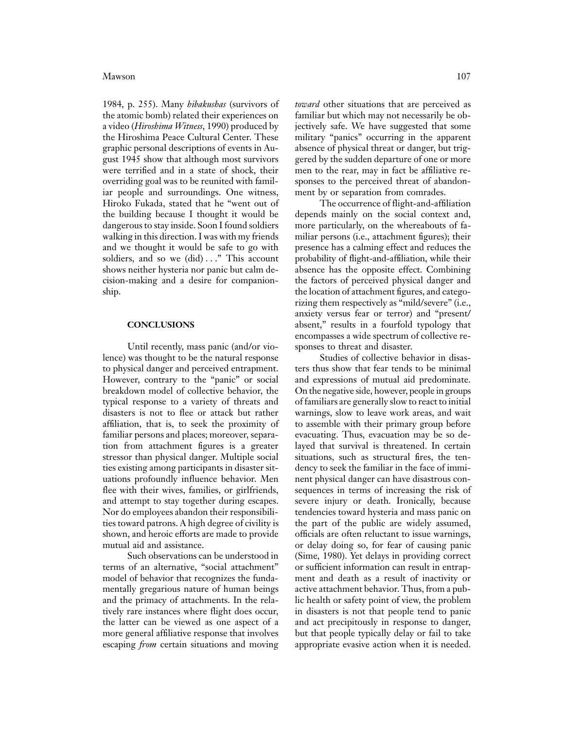the atomic bomb) related their experiences on familiar but which may not necessarily be oba video (*Hiroshima Witness*, 1990) produced by jectively safe. We have suggested that some the Hiroshima Peace Cultural Center. These military "panics" occurring in the apparent graphic personal descriptions of events in Au- absence of physical threat or danger, but triggust 1945 show that although most survivors gered by the sudden departure of one or more were terrified and in a state of shock, their men to the rear, may in fact be affiliative reoverriding goal was to be reunited with famil-<br>iar people and surroundings. One witness, ment by or separation from comrades. iar people and surroundings. One witness, Hiroko Fukada, stated that he "went out of The occurrence of flight-and-affiliation the building because I thought it would be depends mainly on the social context and, dangerous to stay inside. Soon I found soldiers more particularly, on the whereabouts of fawalking in this direction. I was with my friends miliar persons (i.e., attachment figures); their and we thought it would be safe to go with presence has a calming effect and reduces the soldiers, and so we (did) . . ." This account probability of flight-and-affiliation, while their shows neither hysteria nor panic but calm de- absence has the opposite effect. Combining cision-making and a desire for companion- the factors of perceived physical danger and ship. the location of attachment figures, and catego-

Until recently, mass panic (and/or vio- sponses to threat and disaster. lence) was thought to be the natural response Studies of collective behavior in disasto physical danger and perceived entrapment. ters thus show that fear tends to be minimal However, contrary to the "panic" or social and expressions of mutual aid predominate. breakdown model of collective behavior, the On the negative side, however, people in groups typical response to a variety of threats and of familiars are generally slow to react to initial disasters is not to flee or attack but rather warnings, slow to leave work areas, and wait affiliation, that is, to seek the proximity of to assemble with their primary group before familiar persons and places; moreover, separa- evacuating. Thus, evacuation may be so detion from attachment figures is a greater layed that survival is threatened. In certain stressor than physical danger. Multiple social situations, such as structural fires, the tenties existing among participants in disaster sit- dency to seek the familiar in the face of immiuations profoundly influence behavior. Men nent physical danger can have disastrous conflee with their wives, families, or girlfriends, sequences in terms of increasing the risk of and attempt to stay together during escapes. severe injury or death. Ironically, because Nor do employees abandon their responsibili- tendencies toward hysteria and mass panic on ties toward patrons. A high degree of civility is the part of the public are widely assumed, shown, and heroic efforts are made to provide officials are often reluctant to issue warnings, mutual aid and assistance. or delay doing so, for fear of causing panic

terms of an alternative, "social attachment" or sufficient information can result in entrapmodel of behavior that recognizes the funda- ment and death as a result of inactivity or mentally gregarious nature of human beings active attachment behavior. Thus, from a puband the primacy of attachments. In the rela- lic health or safety point of view, the problem tively rare instances where flight does occur, in disasters is not that people tend to panic the latter can be viewed as one aspect of a and act precipitously in response to danger, more general affiliative response that involves but that people typically delay or fail to take escaping *from* certain situations and moving appropriate evasive action when it is needed.

1984, p. 255). Many *hibakushas* (survivors of *toward* other situations that are perceived as

rizing them respectively as "mild/severe" (i.e., anxiety versus fear or terror) and "present/ **CONCLUSIONS** absent," results in a fourfold typology that encompasses a wide spectrum of collective re-

Such observations can be understood in (Sime, 1980). Yet delays in providing correct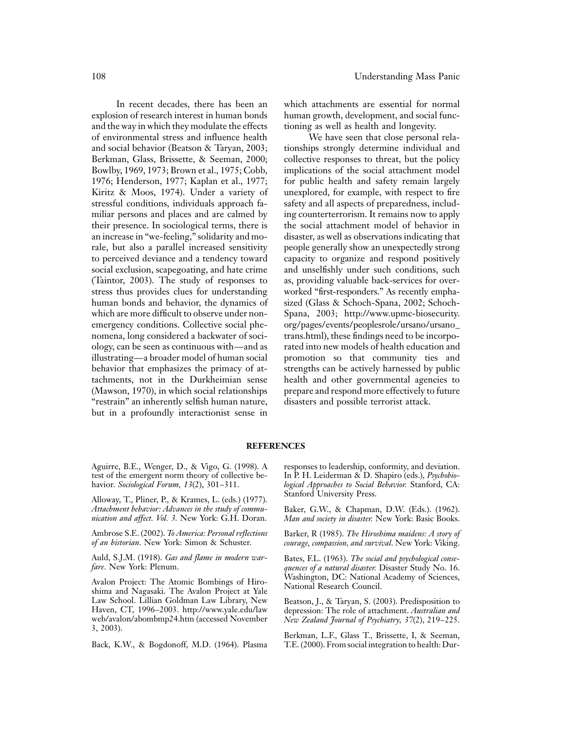explosion of research interest in human bonds human growth, development, and social funcand the way in which they modulate the effects tioning as well as health and longevity. of environmental stress and influence health We have seen that close personal relaand social behavior (Beatson & Taryan, 2003; tionships strongly determine individual and Berkman, Glass, Brissette, & Seeman, 2000; collective responses to threat, but the policy Bowlby, 1969, 1973; Brown et al., 1975; Cobb, implications of the social attachment model 1976; Henderson, 1977; Kaplan et al., 1977; for public health and safety remain largely Kiritz & Moos, 1974). Under a variety of unexplored, for example, with respect to fire stressful conditions, individuals approach fa- safety and all aspects of preparedness, includmiliar persons and places and are calmed by ing counterterrorism. It remains now to apply their presence. In sociological terms, there is the social attachment model of behavior in an increase in "we-feeling," solidarity and mo- disaster, as well as observations indicating that rale, but also a parallel increased sensitivity people generally show an unexpectedly strong to perceived deviance and a tendency toward capacity to organize and respond positively social exclusion, scapegoating, and hate crime and unselfishly under such conditions, such (Taintor, 2003). The study of responses to as, providing valuable back-services for overstress thus provides clues for understanding worked "first-responders." As recently emphahuman bonds and behavior, the dynamics of sized (Glass & Schoch-Spana, 2002; Schochwhich are more difficult to observe under non- Spana, 2003; http://www.upmc-biosecurity. emergency conditions. Collective social phe- org/pages/events/peoplesrole/ursano/ursano\_ nomena, long considered a backwater of soci- trans.html), these findings need to be incorpoology, can be seen as continuous with—and as rated into new models of health education and illustrating—a broader model of human social promotion so that community ties and behavior that emphasizes the primacy of at- strengths can be actively harnessed by public tachments, not in the Durkheimian sense health and other governmental agencies to (Mawson, 1970), in which social relationships prepare and respond more effectively to future "restrain" an inherently selfish human nature, disasters and possible terrorist attack. but in a profoundly interactionist sense in

In recent decades, there has been an which attachments are essential for normal

## **REFERENCES**

test of the emergent norm theory of collective be-<br>
In P. H. Leiderman & D. Shapiro (eds.), *Psychobio-*<br> *In P. H. Leiderman & D. Shapiro (eds.), Psychobio-*<br> *logical Approaches to Social Behavior*: Stanford, CA:

Stanford University Press.<br>Alloway, T., Pliner, P., & Krames, L. (eds.) (1977).<br>Attachment behavior: Advances in the study of commu-<br>Baker. G.W.. & Chapmar *Attachment behavior: Advances in the study of commu-* Baker, G.W., & Chapman, D.W. (Eds.). (1962).

Auld, S.J.M. (1918). *Gas and flame in modern war-* Bates, F.L. (1963). *The social and psychological conse-*

Avalon Project: The Atomic Bombings of Hiro-<br>shima and Nagasaki. The Avalon Project at Yale National Research Council. Law School. Lillian Goldman Law Library, New Beatson, J., & Taryan, S. (2003). Predisposition to Haven, CT, 1996–2003. http://www.yale.edu/law depression: The role of attachment. *Australian and* Haven, CT, 1996–2003. http://www.yale.edu/law depression: The role of attachment. *Australian and* web/avalon/abombmp24.htm (accessed November *New Zealand Journal of Psychiatry, 37(2), 219–225.*<br>3, 2003).

Aguirre, B.E., Wenger, D., & Vigo, G. (1998). A responses to leadership, conformity, and deviation. havior. *Sociological Forum, 13*(2), 301–311. *logical Approaches to Social Behavior.* Stanford, CA:

*Man and society in disaster.* New York: Basic Books.

Ambrose S.E. (2002). *To America: Personal reflections* Barker, R (1985). *The Hiroshima maidens: A story of courage, compassion, and survival*. New York: Viking.

*quences of a natural disaster.* Disaster Study No. 16.<br>Washington, DC: National Academy of Sciences,

Berkman, L.F., Glass T., Brissette, I, & Seeman,<br>Back, K.W., & Bogdonoff, M.D. (1964). Plasma T.E. (2000). From social integration to health: Dur-T.E. (2000). From social integration to health: Dur-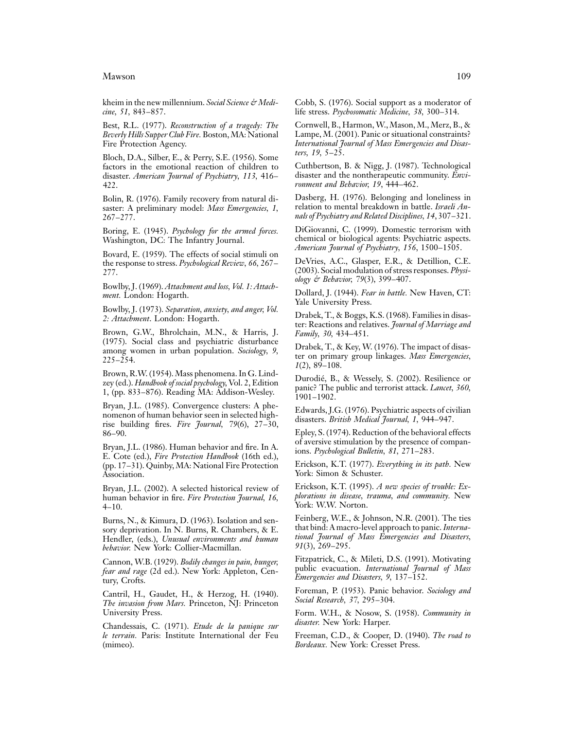## Mawson and the contract of the contract of the contract of the contract of the contract of the contract of the contract of the contract of the contract of the contract of the contract of the contract of the contract of the

*cine, 51,* 843–857. life stress. *Psychosomatic Medicine, 38,* 300–314.

*Beverly Hills Supper Club Fire.* Boston, MA: National Fire Protection Agency.

*ters, 19, 5–25.*<br> *factors* in the emotional reaction of children to Cuthbertson, B. & Nigg, J. (1987). Technological factors in the emotional reaction of children to Cuthbertson, B. & Nigg, J. (1987). Technological disaster. *American Fournal of Psychiatry*. 113, 416– disaster and the nontherapeutic community. *Envi*disaster. *American Journal of Psychiatry*, 113, 416– 422. *ronment and Behavior, 19*, 444–462.

saster: A preliminary model: *Mass Emergencies*, 1, 267-277.

*American Journal of Psychiatry, 156*, 1500–1505. Bovard, E. (1959). The effects of social stimuli on the response to stress. *Psychological Review*, 66, 267– DeVries, A.C., Glasper, E.R., & Detillion, C.E.

Bowlby, J. (1969). Attachment and loss, Vol. 1: Attach-

Bryan, J.L. (1985). Convergence custers: A phe-<br>nomenon of human behavior seen in selected high-<br>rise building fires. *Fire Journal*, 79(6), 27–30,<br> $\frac{27-30}{3}$ ,

of aversive stimulation by the presence of compan-<br>E. Cote (ed.), *Fire Protection Handbook* (16th ed.),<br>(pp. 17–31). Quinby, MA: National Fire Protection Erickson, K.T. (1977). *Everything in its path*. New (pp. 17–31). Quinby, MA: National Fire Protection Association. York: Simon & Schuster.

human behavior in fire. *Fire Protection Journal*, 16, 4–10.

that bind: A macro-level approach to panic. *Interna-* sory deprivation. In N. Burns, R. Chambers, & E. Hendler, (eds.), *Unusual environments and human tional Journal of Mass Emergencies and Disasters, behavior*. New York: Collier-Macmillan.

Foreman, P. (1953). Panic behavior. *Sociology and* Cantril, H., Gaudet, H., & Herzog, H. (1940). *Social Research, 37,* 295–304. *The invasion from Mars.* Princeton, NJ: Princeton University Press. Form. W.H., & Nosow, S. (1958). *Community in*

*disaster.* New York: Harper. Chandessais, C. (1971). *Etude de la panique sur le terrain.* Paris: Institute International der Feu Freeman, C.D., & Cooper, D. (1940). *The road to*

kheim in the new millennium. *Social Science & Medi-* Cobb, S. (1976). Social support as a moderator of

Best, R.L. (1977). *Reconstruction of a tragedy: The* Cornwell, B., Harmon, W., Mason, M., Merz, B., & *Beverly Hills Supper Club Fire.* Boston. MA: National Lampe, M. (2001). Panic or situational constraints? International Journal of Mass Emergencies and Disas-<br>ters, 19, 5–25.

Bolin, R. (1976). Family recovery from natural di-<br>saster: A preliminary model: Mass Emergencies 1 relation to mental breakdown in battle. Israeli An-267–277. *nals of Psychiatry and Related Disciplines, 14*, 307–321.

Boring, E. (1945). *Psychology for the armed forces.* DiGiovanni, C. (1999). Domestic terrorism with Washington, DC: The Infantry Journal. chemical or biological agents: Psychiatric aspects.

277.<br>
<sup>2</sup>27. (2003). Social modulation of stress responses. *Physi-*<br>
<sup>277</sup>. (2003). Social modulation of stress responses. *Physi-*

*ment.* London: Hogarth. **Dollard, J. (1944)**. *Fear in battle*. New Haven, CT:

Bowlby, J. (1973). Separation, anxiety, and anger, Vol.<br>2: Attachment. London: Hogarth.<br>Brown, G.W., Bhrolchain, M.N., & Harris, J. Family, 30, 434–451.<br>(1975). Social class and psychiatric disturbance

among women in urban population. *Sociology*, 9,<br>225–254.<br>Brown, R.W. (1954). Mass phenomena. In G. Lind-<br>Brown, R.W. (1954). Mass phenomena. In G. Lind-

Brown, K. W. (1997). Wass phenomena. In G. Ema-<br>
zey (ed.). *Handbook of social psychology*, Vol. 2, Edition<br>
1, (pp. 833–876). Reading MA: Addison-Wesley.<br>
Bryan, J.L. (1985). Convergence clusters: A phe-<br>
February J.C. (

86–90. Epley, S. (1974). Reduction of the behavioral effects<br>  $\Gamma$  1. (1996) II and the state of aversive stimulation by the presence of compan-

Bryan, J.L. (2002). A selected historical review of Erickson, K.T. (1995). *A new species of trouble: Ex-*<br>human behavior in fire. *Fire Protection Journal*, 16. *plorations in disease, trauma, and community*. New York: W.W. Norton.

Burns, N., & Kimura, D. (1963). Isolation and sen- Feinberg, W.E., & Johnson, N.R. (2001). The ties

Cannon, W.B. (1929). *Bodily changes in pain, hunger*, Fitzpatrick, C., & Mileti, D.S. (1991). Motivating fear and rage (2d ed.). New York: Appleton, Cen-<br>tury, Crofts. (2014). New York: Appleton, Cen-<br>Emergencies and Disa

Bordeaux. New York: Cresset Press.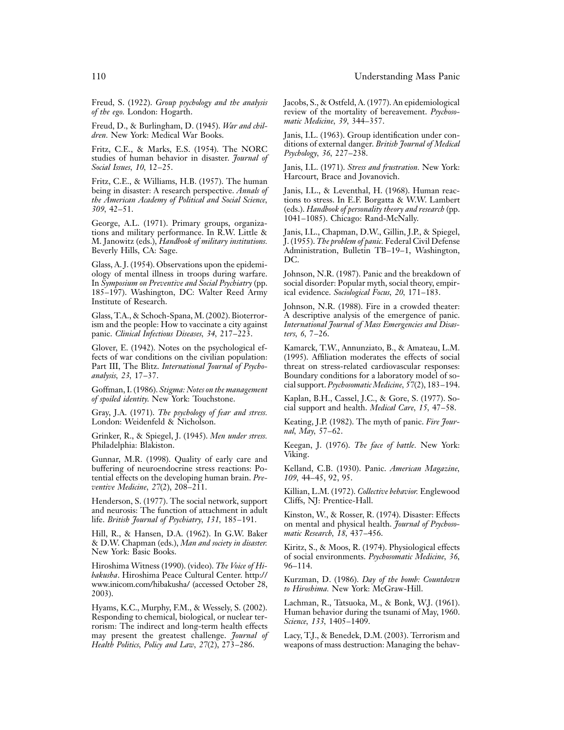*of the ego.* London: Hogarth. review of the mortality of bereavement. *Psychoso-*

Freud, D., & Burlingham, D. (1945). *War and chil-* matic Medicine, 39, 344–357.<br> *dren*. New York: Medical War Books. Janis, I.L. (1963). Group iden

ditions of external danger. *British Journal of Medical*<br>studies of human behavior in disaster. *Journal of Psychology, 36,* 227–238.<br>Janis, I.L. (1971). *Stress and frustration*. New York:

Fritz, C.E., & Williams, H.B. (1957). The human being in disaster: A research perspective. *Annals of* Janis, I.L., & Leventhal, H. (1968). Human reac-<br>the American Academy of Political and Social Science, tions to stress. In E.F. Borgatta & W.W. Lambert *the American Academy of Political and Social Science,* tions to stress. In E.F. Borgatta & W.W. Lambert

George, A.L. (1971). Primary groups, organiza-<br>
tions and military performance. In R.W. Little & Janis, I.L., Chapman, D.W., Gillin, J.P., & Spiegel, tions and military performance. In R.W. Little & M. Janowitz (eds.), *Handbook of military institutions*.

Glass, A. J. (1954). Observations upon the epidemi-<br>ology of mental illness in troops during warfare. Johnson, N.R. (1987). Panic and the breakdown of ology of mental illness in troops during warfare. In *Symposium on Preventive and Social Psychiatry* (pp. social disorder: Popular myth, social theory, empir-185–197). Washington, DC: Walter Reed Army ical evidence. *Sociological Focus, 20,* 171–183.

panic. *Clinical Infectious Diseases*, 34, 217–223.

fects of war conditions on the civilian population: (1995). Affiliation moderates the effects of social Part III, The Blitz. *International Journal of Psycho-* threat on stress-related cardiovascular responses:

Goffman, I. (1986). Stigma: Notes on the management *of spoiled identity*. New York: Touchstone. Kaplan, B.H., Cassel, J.C., & Gore, S. (1977). So-

cial support and health. *Medical Care, 15,* 47–58. Gray, J.A. (1971). *The psychology of fear and stress.*

*nal, May,* 57–62. Grinker, R., & Spiegel, J. (1945). *Men under stress.*

Gunnar, M.R. (1998). Quality of early care and buffering of neuroendocrine stress reactions: Po- Kelland, C.B. (1930). Panic. *American Magazine,* tential effects on the developing human brain. *Pre- 109,* 44–45, 92, 95.

Henderson, S. (1977). The social network, support

Hill, R., & Hansen, D.A. (1962). In G.W. Baker

Hiroshima Witness (1990). (video). The Voice of Hi*bakusha*. Hiroshima Peace Cultural Center. http:// Kurzman, D. (1986). *Day of the bomb: Countdown* www.inicom.com/hibakusha/ (accessed October 28, *to Hiroshima.* New York: McGraw-Hill. 2003).

Hyams, K.C., Murphy, F.M., & Wessely, S. (2002). Lachman, R., Tatsuoka, M., & Bonk, W.J. (1961).<br>
Responding to chemical, biological, or nuclear ter-<br>
rorism: The indirect and long-term health effects<br>
may present the grea may present the greatest challenge. *Journal of Health Politics*, *Policy and Law*, 27(2), 273-286.

Freud, S. (1922). *Group psychology and the analysis* Jacobs, S., & Ostfeld, A. (1977). An epidemiological

Janis, I.L. (1963). Group identification under con-

Janis, I.L. (1971). *Stress and frustration*. New York:<br>Harcourt, Brace and Jovanovich.

*309,* 42–51. (eds.). *Handbook of personality theory and research* (pp.

J. (1955). *The problem of panic*. Federal Civil Defense Beverly Hills, CA: Sage. (2003) Administration, Bulletin TB-19-1, Washington,

Institute of Research.<br>
Glass, T.A., & Schoch-Spana, M. (2002). Bioterror-<br>
A descriptive analysis of the emergence of panic. A descriptive analysis of the emergence of panic. ism and the people: How to vaccinate a city against *International Journal of Mass Emergencies and Disas*-<br>
panic. *Clinical Infectious Diseases*, 34, 217–223. *ters*, 6, 7–26.

Glover, E. (1942). Notes on the psychological ef- Kamarck, T.W., Annunziato, B., & Amateau, L.M. *analysis*, 23, 17–37.<br> **Boundary conditions for a laboratory model of so-**<br> **C** C C L(1000 S): M C C C L(1000 S): M C C C C L(1000 S):

Keating, J.P. (1982). The myth of panic. *Fire Jour-*

Keegan, J. (1976). The face of battle. New York:<br>Viking.

Killian, L.M. (1972). *Collective behavior*: Englewood<br>Cliffs, NJ: Prentice-Hall.

and neurosis: The function of attachment in adult<br>life. *British Journal of Psychiatry, 131*, 185–191. Kinston, W., & Rosser, R. (1974). Disaster: Effects<br>on mental and physical health. *Journal of Psychoso-*<br>Hill, R., & H

& D.W. Chapman (eds.), *Man and society in disaster.* Kiritz, S., & Moos, R. (1974). Physiological effects of social environments. *Psychosomatic Medicine*, 36, Hiroshima Witness (1990). (video). *The Voice of Hi*- 96–114.

weapons of mass destruction: Managing the behav-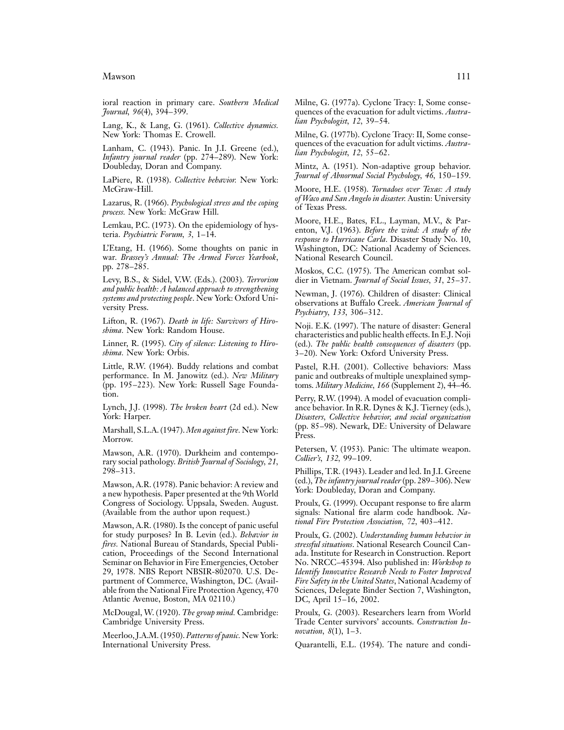## Mawson 111

*lian Psychologist, 12,* 39–54. Lang, K., & Lang, G. (1961). *Collective dynamics.* New York: Thomas E. Crowell. Milne, G. (1977b). Cyclone Tracy: II, Some conse-

Doubleday, Doran and Company. Mintz, A. (1951). Non-adaptive group behavior.

McGraw-Hill. Moore, H.E. (1958). *Tornadoes over Texas: A study*

*process.* New York: McGraw Hill.

war. *Brassey's Annual: The Armed Forces Yearbook*,

Levy, B.S., & Sidel, V.W. (Eds.). (2003). *Terrorism* dier in Vietnam. *Journal of Social Issues, 31,* 25–37.

Linner, R. (1995). *City of silence: Listening to Hiro-* (ed.). *The public health consequences of disasters* (pp.

Little, R.W. (1964). Buddy relations and combat Pastel, R.H. (2001). Collective behaviors: Mass performance. In M. Janowitz (ed.). *New Military* panic and outbreaks of multiple unexplained symp- (pp. 195–223). New York: Russell Sage Founda- toms. *Military Medicine, 166* (Supplement 2), 44–46.

Lynch, J.J. (1998). *The broken heart* (2d ed.). New ance behavior. In R.R. Dynes & K.J. Tierney (eds.),

Press.<br>Morrow. Press.

rary social pathology. *British Journal of Sociology*, 21, 298–313. Phillips, T.R. (1943). Leader and led. In J.I. Greene

a new hypothesis. Paper presented at the 9th World Congress of Sociology. Uppsala, Sweden. August. Proulx, G. (1999). Occupant response to fire alarm

*tional Fire Protection Association, 72,* 403–412. Mawson, A.R. (1980). Is the concept of panic useful for study purposes? In B. Levin (ed.). *Behavior in* Proulx, G. (2002). *Understanding human behavior in fires.* National Bureau of Standards, Special Publi-<br>
cation, Proceedings of the Second International ada. Institute for Research in Construction. Report cation, Proceedings of the Second International ada. Institute for Research in Construction. Report Seminar on Behavior in Fire Emergencies, October No. NRCC-45394. Also published in: *Workshop to* Seminar on Behavior in Fire Emergencies, October No. NRCC–45394. Also published in: *Workshop to* 29, 1978. NBS Report NBSIR-802070. U.S. De-<br>
Identify Innovative Research Needs to Foster Improved partment of Commerce, Washington, DC. (Avail- *Fire Safety in the United States*, National Academy of able from the National Fire Protection Agency, 470 Sciences, Delegate Binder Section 7, Washington, Atlantic Avenue, Boston, MA 02110.) DC, April 15–16, 2002.

McDougal, W. (1920). *The group mind.* Cambridge: Proulx, G. (2003). Researchers learn from World Cambridge University Press. Trade Center survivors' accounts. *Construction In-*

*Meerloo, J.A.M. (1950). Patterns of panic.* New York: *novation, 8*(1), 1–3.<br>International University Press. Quarantelli, E.L. (

ioral reaction in primary care. *Southern Medical* Milne, G. (1977a). Cyclone Tracy: I, Some conse-*Journal, 96*(4), 394–399. quences of the evacuation for adult victims. *Austra-*

quences of the evacuation for adult victims. *Austra-* Lanham, C. (1943). Panic. In J.I. Greene (ed.), *lian Psychologist, 12,* 55–62. *Infantry journal reader* (pp. 274–289). New York:

*Journal of Abnormal Social Psychology, 46,* 150–159. LaPiere, R. (1938). *Collective behavior.* New York:

*of Waco and San Angelo in disaster.* Austin: University Lazarus, R. (1966). *Psychological stress and the coping* of Texas Press.

Lemkau, P.C. (1973). On the epidemiology of hys-<br>teria. Psychiatric Forum, 3, 1–14.<br>Teria. Psychiatric Forum, 3, 1–14.<br>Teriang, H. (1966). Some thoughts on panic in Washington, DC: National Academy of Sciences. Washington, DC: National Academy of Sciences.<br>National Research Council.

pp. 278–285.<br>Levy, B.S., & Sidel, V.W. (Eds.). (2003). *Terrorism* Moskos, C.C. (1975). The American combat sol-<br>dier in Vietnam. *Journal of Social Issues*, 31, 25–37.

ana public beatin: A balancea approach to strengthening<br>systems and protecting people. New York: Oxford University Press.<br>Lifton, R. (1967). Death in life: Survivors of Hiro-<br>Lifton, R. (1967). Death in life: Survivors of

Lifton, R. (1967). *Death in tige: Survivors of Hiro-*<br>*Shima*. New York: Random House.<br>*City of silence: Listening to Hiro-* (ed.). *The public health consequences of disasters* (pp. 3–20). New York: Oxford University Press.

tion.<br>Lynch, J.J. (1998). The broken heart (2d ed.). New ance behavior. In R.R. Dynes & K.J. Tierney (eds.), Disasters, Collective behavior, and social organization<br>(pp. 85–98). Newark, DE: University of Delaware Marshall, S.L.A. (1947). *Men against fire.* New York: (pp. 85–98). Newark, DE: University of Delaware

Mawson, A.R. (1970). Durkheim and contempo-<br>
Collier's, 132, 99–109.<br>
Collier's, 132, 99–109.

Mawson, A.R. (1978). Panic behavior: A review and (ed.),*The infantry journal reader* (pp. 289–306). New

(Available from the author upon request.) signals: National fire alarm code handbook. *Na-*

Identify Innovative Research Needs to Foster Improved

Quarantelli, E.L. (1954). The nature and condi-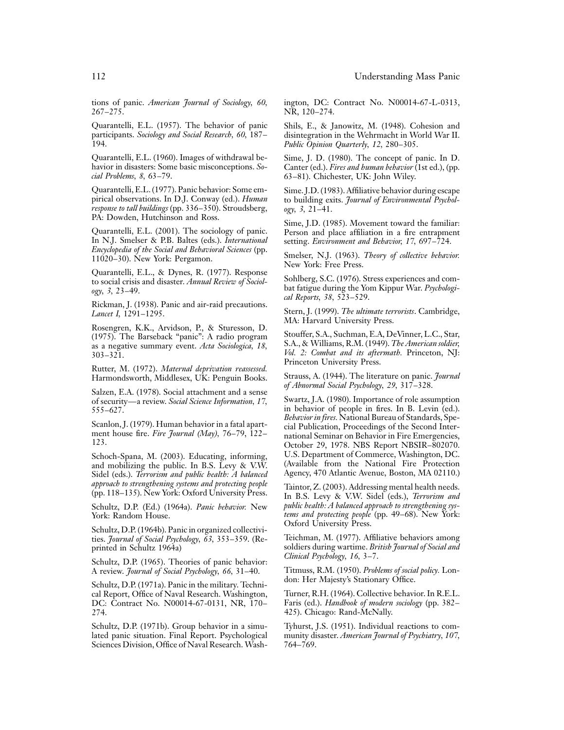267–275. NR, 120–274.

Quarantelli, E.L. (1960). Images of withdrawal be-<br>havior in disasters: Some basic misconceptions. So-<br>Canter (ed.). Fires and human behavior (1st ed.), (pp.

Quarantelli, E.L. (1977). Panic behavior: Some em-<br>
pirical observations. In D.J. Conway (ed.). *Human* to building exits. *Fournal of Environmental Psycholresponse to tall buildings* (pp. 336–350). Stroudsberg, PA: Dowden, Hutchinson and Ross.

Quarantelli, E.L. (2001). The sociology of panic. Person and place affiliation in a fire entrapment In N.J. Smelser & P.B. Baltes (eds.). *International* setting. *Environment and Behavior, 17, 697–724. Encyclopedia of t* 

to social crisis and disaster. Annual Review of Sociol-<br>bat fatigue during the Yom Kippur War. Psychologi-<br>ogy, 3, 23–49.

Rickman, J. (1938). Panic and air-raid precautions. Stern, J. (1999). *The ultimate terrorists*. Cambridge, *Lancet I*, 1291–1295. MA: Harvard University Press.

Rosengren, K.K., Arvidson, P., & Sturesson, D.<br>
(1975). The Barseback "panic": A radio program<br>
as a negative summary event. Acta Sociologica, 18,<br>
303–321.<br>
Frinceton University Press.<br>
Princeton University Press.

Rutter, M. (1972). *Maternal deprivation reassessed.*<br>Harmondsworth, Middlesex, UK: Penguin Books. Strauss, A. (1944). The literature on panic. *Journal* Harmondsworth, Middlesex, UK: Penguin Books.

Salzen, E.A. (1978). Social attachment and a sense of security—a review. *Social Science Information, 17,* Swartz, J.A. (1980). Importance of role assumption

and mobilizing the public. In B.S. Levy & V.W. (Available from the National Fire Protection Sidel (eds.). Terrorism and public health: A halanced Agency, 470 Atlantic Avenue, Boston, MA 02110.) Sidel (eds.). *Terrorism and public health: A balanced approach to strengthening systems and protecting people* Taintor, Z. (2003). Addressing mental health needs. (pp. 118–135). New York: Oxford University Press. In B.S. Levy & V.W. Sidel (eds.), *Terrorism and*

Schultz, D.P. (1964b). Panic in organized collectivi-<br>ties. *Journal of Social Psychology, 63, 353–359.* (Re- Feichman, M. (1977). Affiliative behaviors among ties. *Journal of Social Psychology, 63, 353-359.* (Re-

*Chialtz, D.P. (1965).* Theories of panic behavior:<br>A review. *Journal of Social Psychology, 66,* 31–40. Titmuss, R.M. (1950). *Problems of social policy*. Lon-

don: Her Majesty's Stationary Office.<br>Cal Report, Office of Naval Research. Washington, Turner, R.H. (1964). Collective behavior. In R.E.L. cal Report, Office of Naval Research. Washington, Turner, R.H. (1964). Collective behavior. In R.E.L.<br>DC: Contract No. N00014-67-0131, NR, 170- Faris (ed.). Handbook of modern sociology (pp. 382-DC: Contract No. N00014-67-0131, NR, 170-274. 425). Chicago: Rand-McNally.

Schultz, D.P. (1971b). Group behavior in a simu-<br>
Tyhurst, J.S. (1951). Individual reactions to comlated panic situation. Final Report. Psychological munity disaster. *American Journal of Psychiatry, 107,* Sciences Division, Office of Naval Research. Wash-

tions of panic. *American Journal of Sociology, 60,* ington, DC: Contract No. N00014-67-L-0313,

Quarantelli, E.L. (1957). The behavior of panic Shils, E., & Janowitz, M. (1948). Cohesion and participants. Sociology and Social Research, 60, 187- disintegration in the Wehrmacht in World War II. participants. *Sociology and Social Research, 60,* 187– disintegration in the Wehrmacht in World War II. 194. *Public Opinion Quarterly, 12,* 280–305.

havior in disasters: Some basic misconceptions. *So-* Canter (ed.). *Fires and human behavior* (1st ed.), (pp. *cial Problems, 8,* 63–79. 63–81). Chichester, UK: John Wiley.

to building exits. *Journal of Environmental Psychol-*<br>*ogy*, 3, 21–41.

Sume, J.D. (1985). Movement toward the familiar:<br>Quarantelli, E.L. (2001). The sociology of panic. Person and place affiliation in a fire entrapment

*Encyclopedia of the Social and Behavioral Sciences* (pp. Smelser, N.J. (1963). *Theory of collective behavior.* 11020–30). New York: Pergamon. New York: Free Press.

*cal Reports, 38,* 523–529.

*of Abnormal Social Psychology, 29,* 317–328.

555–627.<br>
Febavior of people in fires. In B. Levin (ed.).<br> *Behavior in fires*. National Bureau of Standards, Spe-Scanlon, J. (1979). Human behavior in a fatal apart-<br>
ment house fire. *Fire Journal (May)*, 76–79, 122–<br>
methouse fire. *Fire Journal (May)*, 76–79, 122–<br>
mational Seminar on Behavior in Fire Emergencies,<br>
October 29, 197 Schoch-Spana, M. (2003). Educating, informing, U.S. Department of Commerce, Washington, DC.<br>and mobilizing the public. In B.S. Levy & V.W. (Available from the National Fire Protection

Schultz, D.P. (Ed.) (1964a). *Panic behavior.* New *public health: A balanced approach to strengthening sys*tems and protecting people (pp. 49–68). New York:<br>Oxford University Press.

printed in Schultz 1964a) soldiers during wartime. *British Journal of Social and* 

A review. *Journal of Social Psychology, 66,* 31–40. Titmuss, R.M. (1950). *Problems of social*<br>Cabellas D.D. (1971.). Donining the active and T. Long-Lon-Her Majesty's Stationary Office.